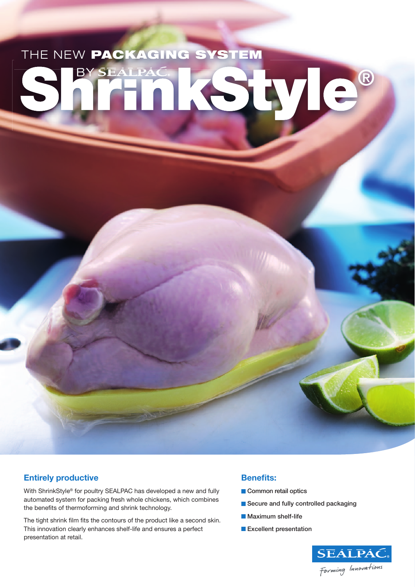# THE NEW PACKAGING SYSTEM yle **BY SEALPAC** ®

### **Entirely productive**

With ShrinkStyle® for poultry SEALPAC has developed a new and fully automated system for packing fresh whole chickens, which combines the benefits of thermoforming and shrink technology.

The tight shrink film fits the contours of the product like a second skin. This innovation clearly enhances shelf-life and ensures a perfect presentation at retail.

#### **Benefits:**

- Common retail optics
- Secure and fully controlled packaging
- **Maximum shelf-life**
- **Excellent presentation**